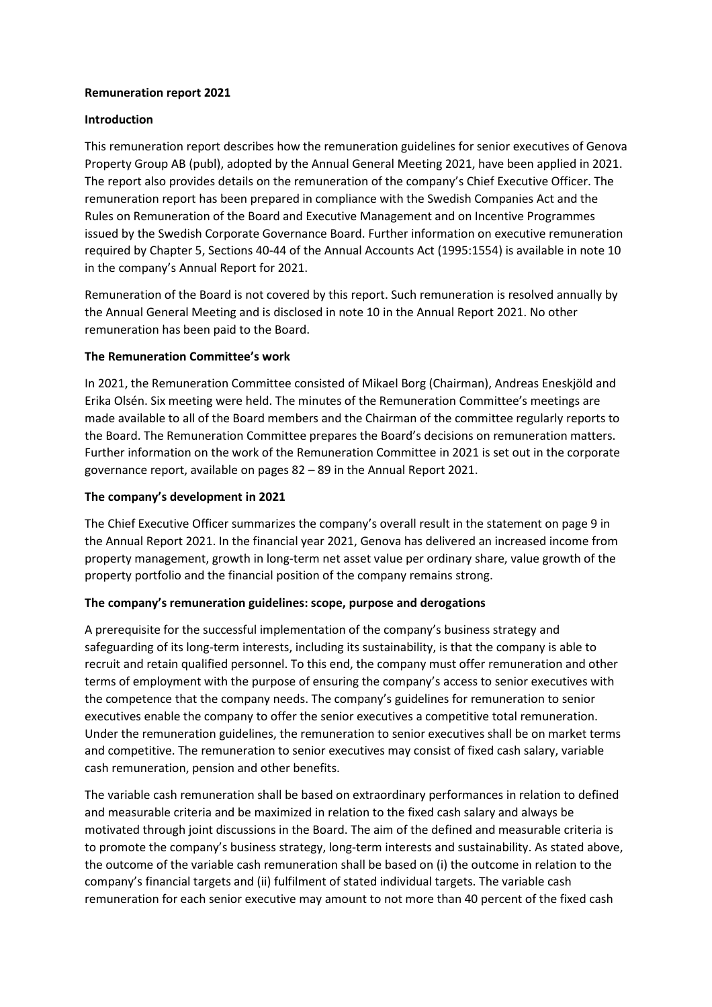### **Remuneration report 2021**

# **Introduction**

This remuneration report describes how the remuneration guidelines for senior executives of Genova Property Group AB (publ), adopted by the Annual General Meeting 2021, have been applied in 2021. The report also provides details on the remuneration of the company's Chief Executive Officer. The remuneration report has been prepared in compliance with the Swedish Companies Act and the Rules on Remuneration of the Board and Executive Management and on Incentive Programmes issued by the Swedish Corporate Governance Board. Further information on executive remuneration required by Chapter 5, Sections 40-44 of the Annual Accounts Act (1995:1554) is available in note 10 in the company's Annual Report for 2021.

Remuneration of the Board is not covered by this report. Such remuneration is resolved annually by the Annual General Meeting and is disclosed in note 10 in the Annual Report 2021. No other remuneration has been paid to the Board.

# **The Remuneration Committee's work**

In 2021, the Remuneration Committee consisted of Mikael Borg (Chairman), Andreas Eneskjöld and Erika Olsén. Six meeting were held. The minutes of the Remuneration Committee's meetings are made available to all of the Board members and the Chairman of the committee regularly reports to the Board. The Remuneration Committee prepares the Board's decisions on remuneration matters. Further information on the work of the Remuneration Committee in 2021 is set out in the corporate governance report, available on pages 82 – 89 in the Annual Report 2021.

### **The company's development in 2021**

The Chief Executive Officer summarizes the company's overall result in the statement on page 9 in the Annual Report 2021. In the financial year 2021, Genova has delivered an increased income from property management, growth in long-term net asset value per ordinary share, value growth of the property portfolio and the financial position of the company remains strong.

#### **The company's remuneration guidelines: scope, purpose and derogations**

A prerequisite for the successful implementation of the company's business strategy and safeguarding of its long-term interests, including its sustainability, is that the company is able to recruit and retain qualified personnel. To this end, the company must offer remuneration and other terms of employment with the purpose of ensuring the company's access to senior executives with the competence that the company needs. The company's guidelines for remuneration to senior executives enable the company to offer the senior executives a competitive total remuneration. Under the remuneration guidelines, the remuneration to senior executives shall be on market terms and competitive. The remuneration to senior executives may consist of fixed cash salary, variable cash remuneration, pension and other benefits.

The variable cash remuneration shall be based on extraordinary performances in relation to defined and measurable criteria and be maximized in relation to the fixed cash salary and always be motivated through joint discussions in the Board. The aim of the defined and measurable criteria is to promote the company's business strategy, long-term interests and sustainability. As stated above, the outcome of the variable cash remuneration shall be based on (i) the outcome in relation to the company's financial targets and (ii) fulfilment of stated individual targets. The variable cash remuneration for each senior executive may amount to not more than 40 percent of the fixed cash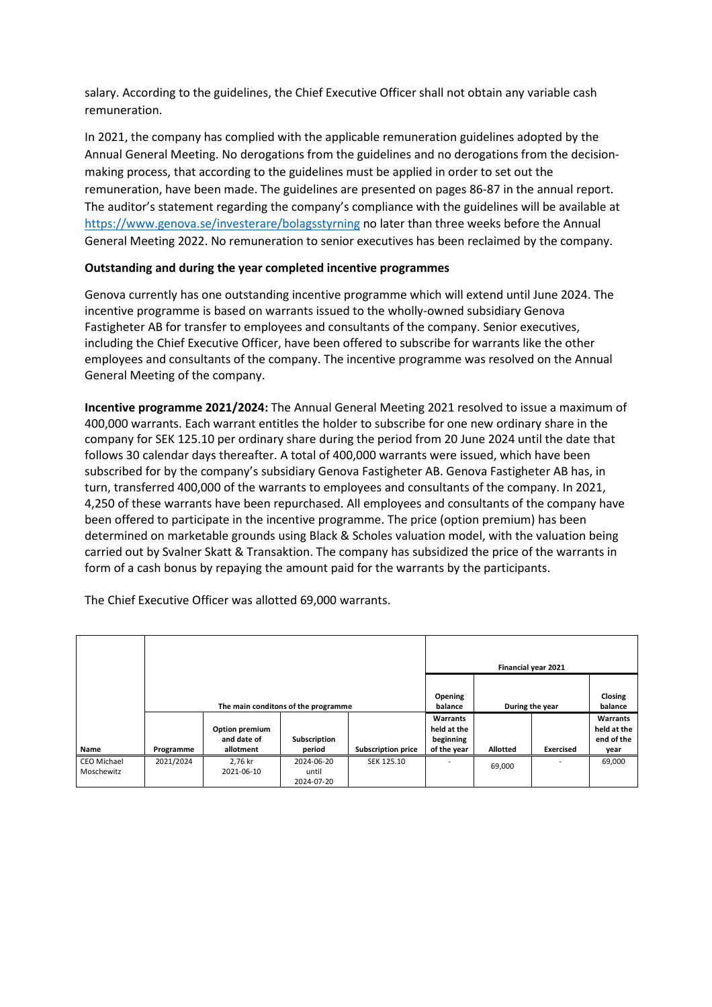salary. According to the guidelines, the Chief Executive Officer shall not obtain any variable cash remuneration.

In 2021, the company has complied with the applicable remuneration guidelines adopted by the Annual General Meeting. No derogations from the guidelines and no derogations from the decisionmaking process, that according to the guidelines must be applied in order to set out the remuneration, have been made. The guidelines are presented on pages 86-87 in the annual report. The auditor's statement regarding the company's compliance with the guidelines will be available at https://www.genova.se/investerare/bolagsstyrning no later than three weeks before the Annual General Meeting 2022. No remuneration to senior executives has been reclaimed by the company.

# **Outstanding and during the year completed incentive programmes**

Genova currently has one outstanding incentive programme which will extend until June 2024. The incentive programme is based on warrants issued to the wholly-owned subsidiary Genova Fastigheter AB for transfer to employees and consultants of the company. Senior executives, including the Chief Executive Officer, have been offered to subscribe for warrants like the other employees and consultants of the company. The incentive programme was resolved on the Annual General Meeting of the company.

**Incentive programme 2021/2024:** The Annual General Meeting 2021 resolved to issue a maximum of 400,000 warrants. Each warrant entitles the holder to subscribe for one new ordinary share in the company for SEK 125.10 per ordinary share during the period from 20 June 2024 until the date that follows 30 calendar days thereafter. A total of 400,000 warrants were issued, which have been subscribed for by the company's subsidiary Genova Fastigheter AB. Genova Fastigheter AB has, in turn, transferred 400,000 of the warrants to employees and consultants of the company. In 2021, 4,250 of these warrants have been repurchased. All employees and consultants of the company have been offered to participate in the incentive programme. The price (option premium) has been determined on marketable grounds using Black & Scholes valuation model, with the valuation being carried out by Svalner Skatt & Transaktion. The company has subsidized the price of the warrants in form of a cash bonus by repaying the amount paid for the warrants by the participants.

The Chief Executive Officer was allotted 69,000 warrants.

|                                  |                                     |                                            |                                   |                           | Financial year 2021                                 |                 |           |                                               |
|----------------------------------|-------------------------------------|--------------------------------------------|-----------------------------------|---------------------------|-----------------------------------------------------|-----------------|-----------|-----------------------------------------------|
|                                  | The main conditons of the programme |                                            |                                   |                           | Opening<br>balance                                  | During the year |           | <b>Closing</b><br>balance                     |
| Name                             | Programme                           | Option premium<br>and date of<br>allotment | Subscription<br>period            | <b>Subscription price</b> | Warrants<br>held at the<br>beginning<br>of the year | <b>Allotted</b> | Exercised | Warrants<br>held at the<br>end of the<br>year |
| <b>CEO Michael</b><br>Moschewitz | 2021/2024                           | 2,76 kr<br>2021-06-10                      | 2024-06-20<br>until<br>2024-07-20 | SEK 125.10                |                                                     | 69,000          |           | 69,000                                        |